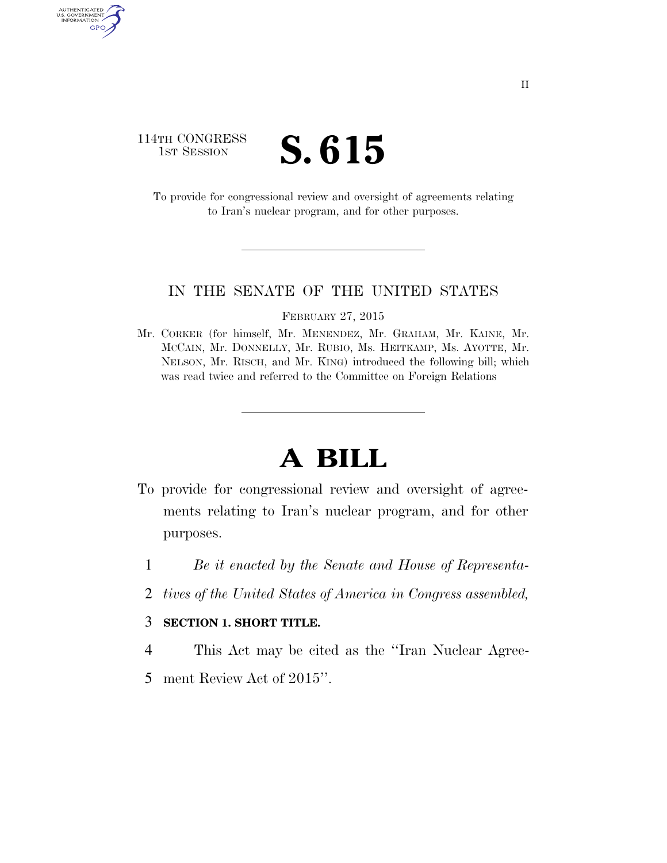### 114TH CONGRESS **IST SESSION S. 615**

AUTHENTICATED<br>U.S. GOVERNMENT<br>INFORMATION GPO

> To provide for congressional review and oversight of agreements relating to Iran's nuclear program, and for other purposes.

#### IN THE SENATE OF THE UNITED STATES

FEBRUARY 27, 2015

Mr. CORKER (for himself, Mr. MENENDEZ, Mr. GRAHAM, Mr. KAINE, Mr. MCCAIN, Mr. DONNELLY, Mr. RUBIO, Ms. HEITKAMP, Ms. AYOTTE, Mr. NELSON, Mr. RISCH, and Mr. KING) introduced the following bill; which was read twice and referred to the Committee on Foreign Relations

# **A BILL**

- To provide for congressional review and oversight of agreements relating to Iran's nuclear program, and for other purposes.
	- 1 *Be it enacted by the Senate and House of Representa-*
	- 2 *tives of the United States of America in Congress assembled,*

#### 3 **SECTION 1. SHORT TITLE.**

- 4 This Act may be cited as the ''Iran Nuclear Agree-
- 5 ment Review Act of 2015''.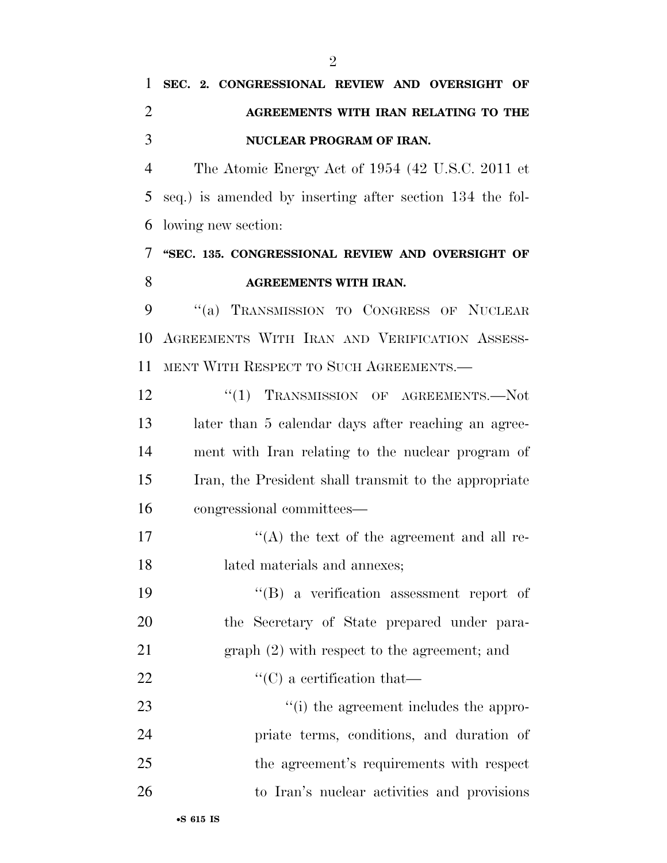## **SEC. 2. CONGRESSIONAL REVIEW AND OVERSIGHT OF AGREEMENTS WITH IRAN RELATING TO THE NUCLEAR PROGRAM OF IRAN.**

 The Atomic Energy Act of 1954 (42 U.S.C. 2011 et seq.) is amended by inserting after section 134 the fol-lowing new section:

### **''SEC. 135. CONGRESSIONAL REVIEW AND OVERSIGHT OF AGREEMENTS WITH IRAN.**

 ''(a) TRANSMISSION TO CONGRESS OF NUCLEAR AGREEMENTS WITH IRAN AND VERIFICATION ASSESS-MENT WITH RESPECT TO SUCH AGREEMENTS.—

12 "(1) TRANSMISSION OF AGREEMENTS.—Not later than 5 calendar days after reaching an agree- ment with Iran relating to the nuclear program of Iran, the President shall transmit to the appropriate congressional committees—

17  $\langle (A)$  the text of the agreement and all re-lated materials and annexes;

 ''(B) a verification assessment report of the Secretary of State prepared under para-graph (2) with respect to the agreement; and

22  $\text{``(C) a certification that}$ 

 $\cdot$  (i) the agreement includes the appro- priate terms, conditions, and duration of the agreement's requirements with respect to Iran's nuclear activities and provisions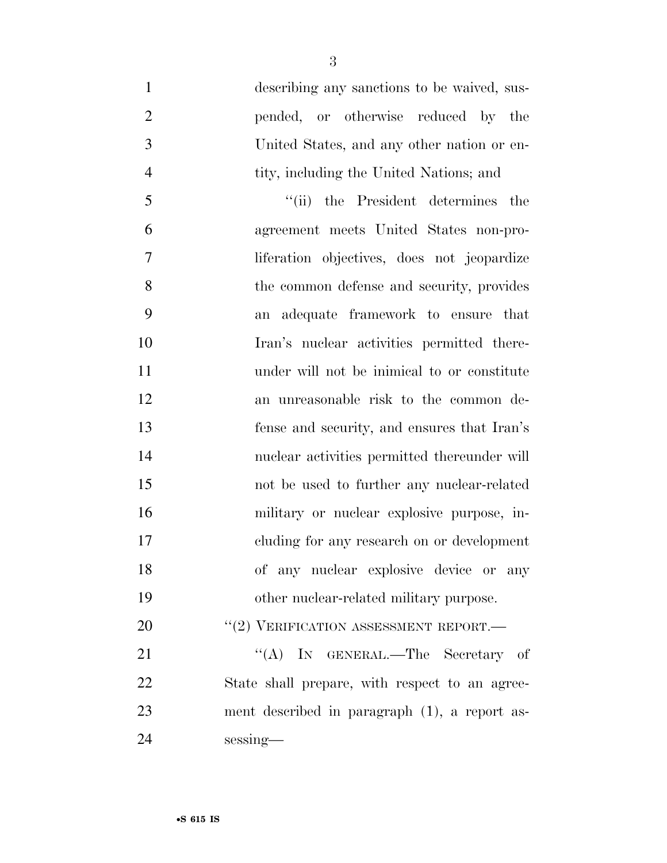| $\mathbf{1}$   | describing any sanctions to be waived, sus-    |
|----------------|------------------------------------------------|
| $\overline{2}$ | pended, or otherwise reduced by the            |
| 3              | United States, and any other nation or en-     |
| $\overline{4}$ | tity, including the United Nations; and        |
| 5              | "(ii) the President determines the             |
| 6              | agreement meets United States non-pro-         |
| $\overline{7}$ | liferation objectives, does not jeopardize     |
| 8              | the common defense and security, provides      |
| 9              | an adequate framework to ensure that           |
| 10             | Iran's nuclear activities permitted there-     |
| 11             | under will not be inimical to or constitute    |
| 12             | an unreasonable risk to the common de-         |
| 13             | fense and security, and ensures that Iran's    |
| 14             | nuclear activities permitted thereunder will   |
| 15             | not be used to further any nuclear-related     |
| 16             | military or nuclear explosive purpose, in-     |
| 17             | cluding for any research on or development     |
| 18             | of any nuclear explosive device or any         |
| 19             | other nuclear-related military purpose.        |
| 20             | "(2) VERIFICATION ASSESSMENT REPORT.—          |
| 21             | "(A) IN GENERAL.—The Secretary of              |
| 22             | State shall prepare, with respect to an agree- |
| 23             | ment described in paragraph (1), a report as-  |
| 24             | sessing-                                       |
|                |                                                |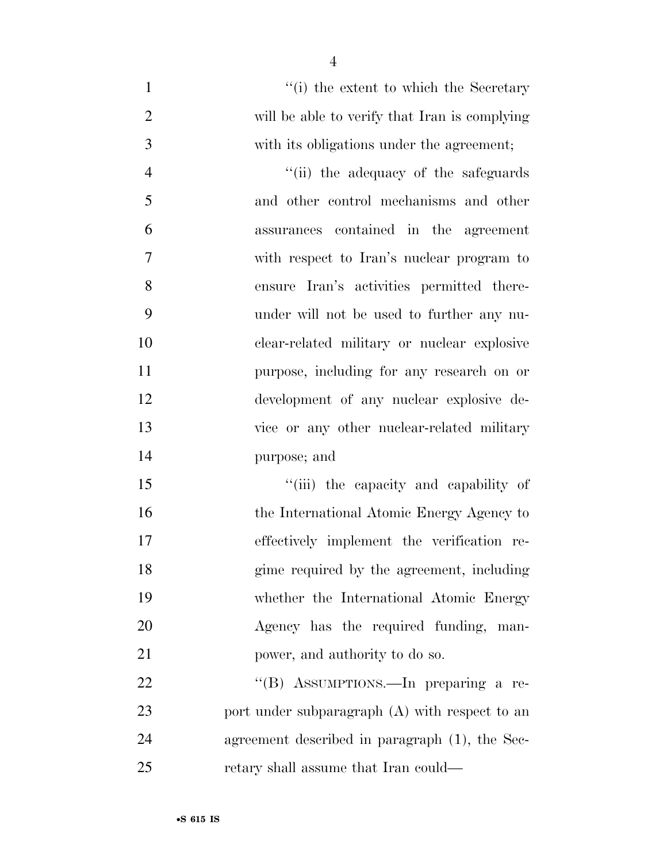- 1 ''(i) the extent to which the Secretary will be able to verify that Iran is complying with its obligations under the agreement; 4 ''(ii) the adequacy of the safeguards and other control mechanisms and other assurances contained in the agreement with respect to Iran's nuclear program to ensure Iran's activities permitted there- under will not be used to further any nu-clear-related military or nuclear explosive
- purpose, including for any research on or development of any nuclear explosive de- vice or any other nuclear-related military purpose; and
- 15  $\frac{1}{10}$  the capacity and capability of 16 the International Atomic Energy Agency to effectively implement the verification re- gime required by the agreement, including whether the International Atomic Energy Agency has the required funding, man-21 power, and authority to do so.

22 "'(B) ASSUMPTIONS.—In preparing a re-23 port under subparagraph (A) with respect to an agreement described in paragraph (1), the Sec-retary shall assume that Iran could—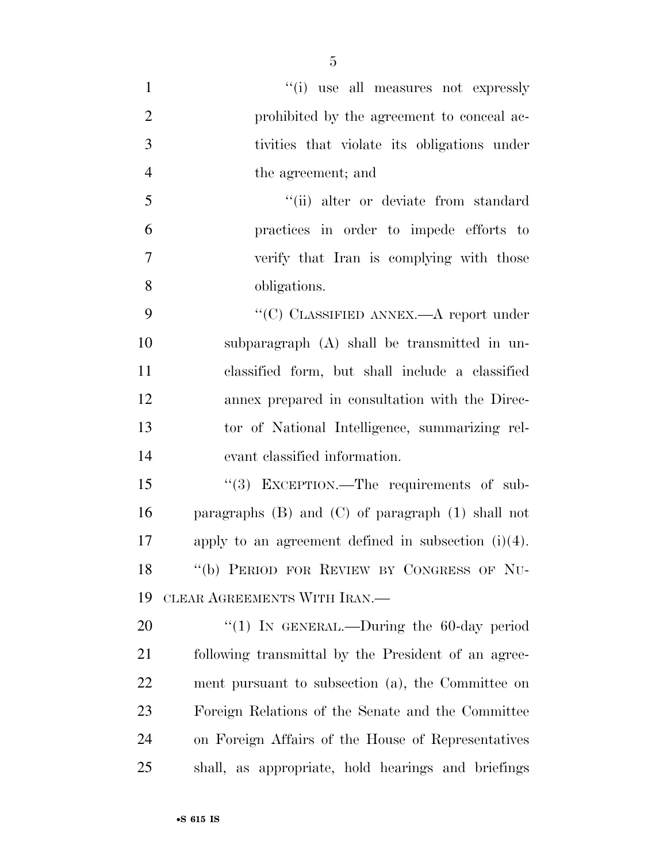''(i) use all measures not expressly **prohibited by the agreement to conceal ac-** tivities that violate its obligations under the agreement; and 5 ''(ii) alter or deviate from standard practices in order to impede efforts to verify that Iran is complying with those obligations.  $\cdot$  (C) CLASSIFIED ANNEX.—A report under subparagraph (A) shall be transmitted in un- classified form, but shall include a classified annex prepared in consultation with the Direc- tor of National Intelligence, summarizing rel- evant classified information. 15 "(3) EXCEPTION.—The requirements of sub- paragraphs (B) and (C) of paragraph (1) shall not apply to an agreement defined in subsection (i)(4). ''(b) PERIOD FOR REVIEW BY CONGRESS OF NU- CLEAR AGREEMENTS WITH IRAN.— 20 "(1) In GENERAL.—During the 60-day period following transmittal by the President of an agree- ment pursuant to subsection (a), the Committee on Foreign Relations of the Senate and the Committee on Foreign Affairs of the House of Representatives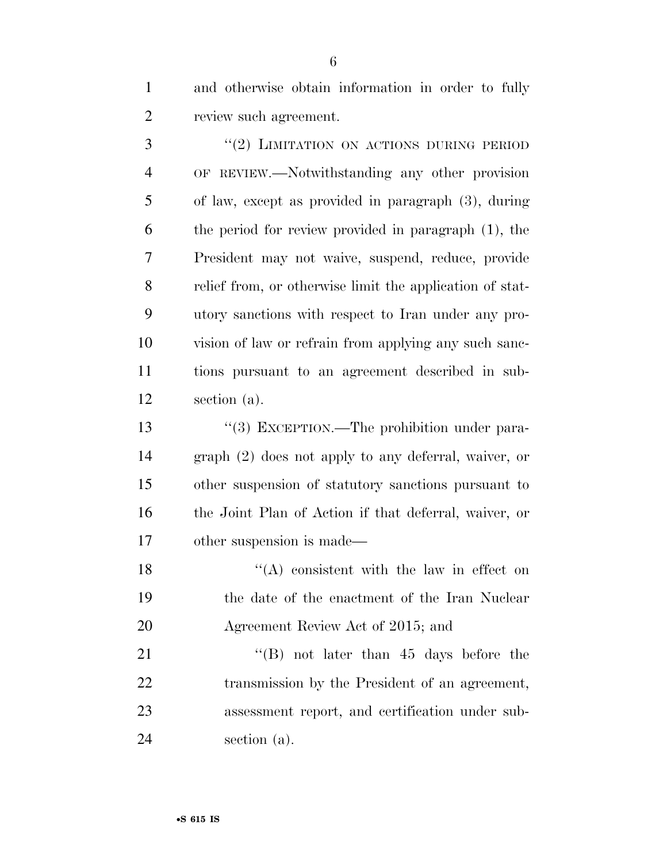and otherwise obtain information in order to fully review such agreement.

3 "(2) LIMITATION ON ACTIONS DURING PERIOD OF REVIEW.—Notwithstanding any other provision of law, except as provided in paragraph (3), during the period for review provided in paragraph (1), the President may not waive, suspend, reduce, provide relief from, or otherwise limit the application of stat- utory sanctions with respect to Iran under any pro- vision of law or refrain from applying any such sanc- tions pursuant to an agreement described in sub-section (a).

 $\frac{13}{2}$  EXCEPTION.—The prohibition under para- graph (2) does not apply to any deferral, waiver, or other suspension of statutory sanctions pursuant to the Joint Plan of Action if that deferral, waiver, or other suspension is made—

18  $"({\rm A})$  consistent with the law in effect on the date of the enactment of the Iran Nuclear Agreement Review Act of 2015; and

21 ''(B) not later than 45 days before the transmission by the President of an agreement, assessment report, and certification under sub-section (a).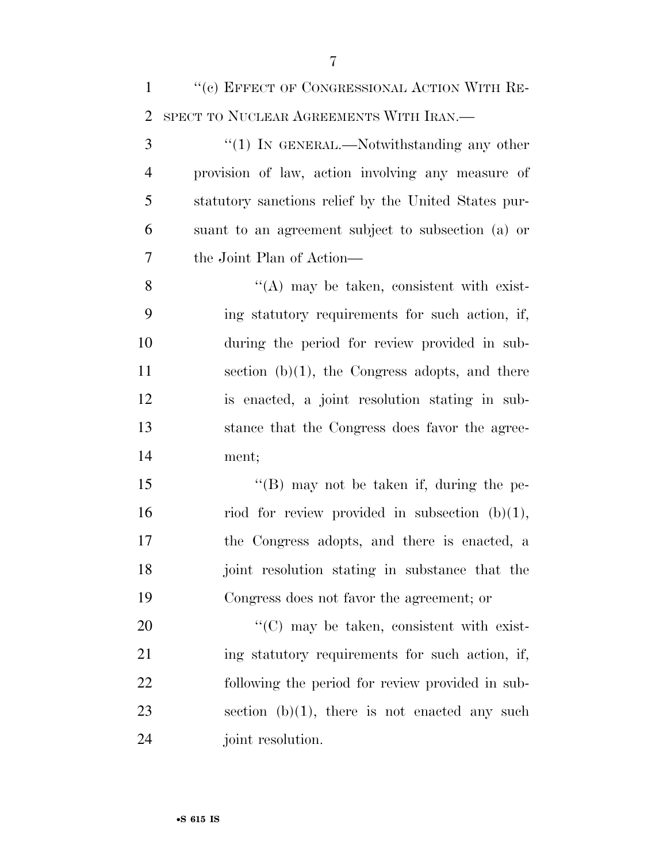| $\mathbf{1}$   | "(c) EFFECT OF CONGRESSIONAL ACTION WITH RE-          |
|----------------|-------------------------------------------------------|
| $\overline{2}$ | SPECT TO NUCLEAR AGREEMENTS WITH IRAN.—               |
| 3              | " $(1)$ IN GENERAL.—Notwithstanding any other         |
| $\overline{4}$ | provision of law, action involving any measure of     |
| 5              | statutory sanctions relief by the United States pur-  |
| 6              | suant to an agreement subject to subsection (a) or    |
| $\overline{7}$ | the Joint Plan of Action—                             |
| 8              | $\lq\lq$ may be taken, consistent with exist-         |
| 9              | ing statutory requirements for such action, if,       |
| 10             | during the period for review provided in sub-         |
| 11             | section $(b)(1)$ , the Congress adopts, and there     |
| 12             | is enacted, a joint resolution stating in sub-        |
| 13             | stance that the Congress does favor the agree-        |
| 14             | ment;                                                 |
| 15             | "(B) may not be taken if, during the pe-              |
| 16             | riod for review provided in subsection $(b)(1)$ ,     |
| 17             | the Congress adopts, and there is enacted, a          |
| 18             | joint resolution stating in substance that the        |
| 19             | Congress does not favor the agreement; or             |
| 20             | $\cdot\cdot$ (C) may be taken, consistent with exist- |
| 21             | ing statutory requirements for such action, if,       |
| 22             | following the period for review provided in sub-      |
|                |                                                       |

23 section  $(b)(1)$ , there is not enacted any such joint resolution.

ment;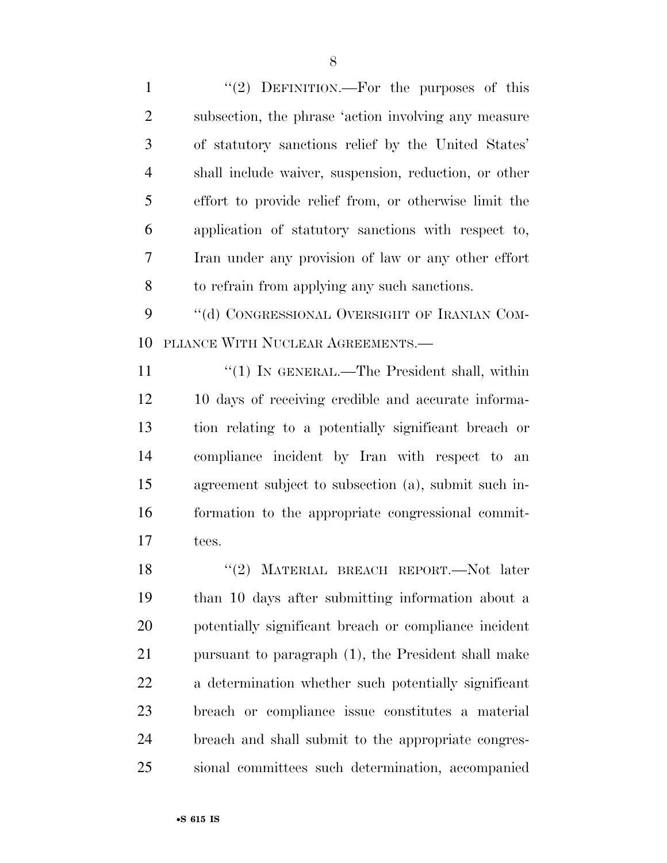1 "(2) DEFINITION.—For the purposes of this subsection, the phrase 'action involving any measure of statutory sanctions relief by the United States' shall include waiver, suspension, reduction, or other effort to provide relief from, or otherwise limit the application of statutory sanctions with respect to, Iran under any provision of law or any other effort to refrain from applying any such sanctions.

9 "(d) CONGRESSIONAL OVERSIGHT OF IRANIAN COM-PLIANCE WITH NUCLEAR AGREEMENTS.—

11 "(1) IN GENERAL.—The President shall, within 10 days of receiving credible and accurate informa- tion relating to a potentially significant breach or compliance incident by Iran with respect to an agreement subject to subsection (a), submit such in- formation to the appropriate congressional commit-tees.

18 "(2) MATERIAL BREACH REPORT. Not later than 10 days after submitting information about a potentially significant breach or compliance incident pursuant to paragraph (1), the President shall make a determination whether such potentially significant breach or compliance issue constitutes a material breach and shall submit to the appropriate congres-sional committees such determination, accompanied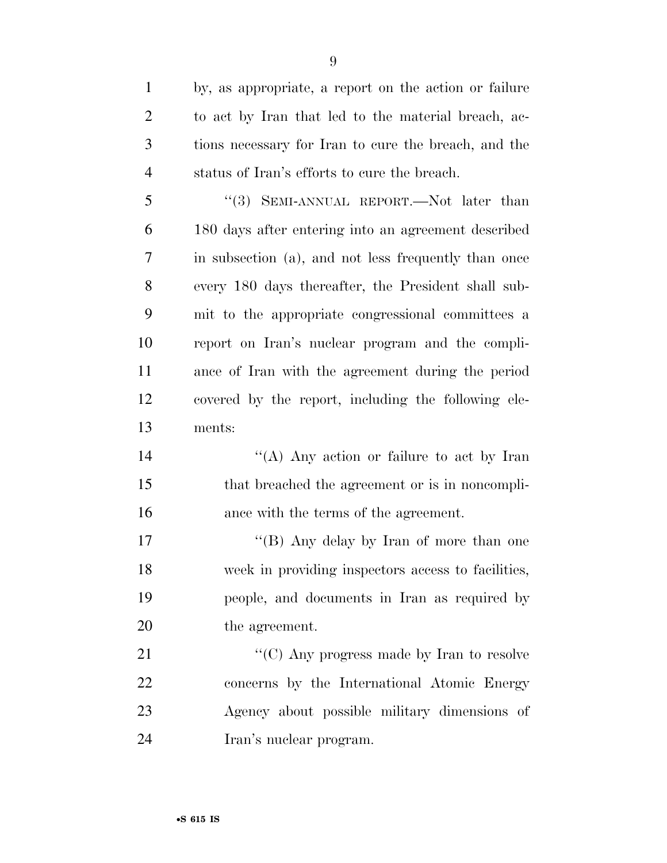by, as appropriate, a report on the action or failure to act by Iran that led to the material breach, ac- tions necessary for Iran to cure the breach, and the status of Iran's efforts to cure the breach. ''(3) SEMI-ANNUAL REPORT.—Not later than 180 days after entering into an agreement described in subsection (a), and not less frequently than once every 180 days thereafter, the President shall sub- mit to the appropriate congressional committees a report on Iran's nuclear program and the compli- ance of Iran with the agreement during the period covered by the report, including the following ele- ments: 14 "(A) Any action or failure to act by Iran that breached the agreement or is in noncompli- ance with the terms of the agreement. 17 "'(B) Any delay by Iran of more than one week in providing inspectors access to facilities, people, and documents in Iran as required by the agreement. 21 "'(C) Any progress made by Iran to resolve concerns by the International Atomic Energy Agency about possible military dimensions of Iran's nuclear program.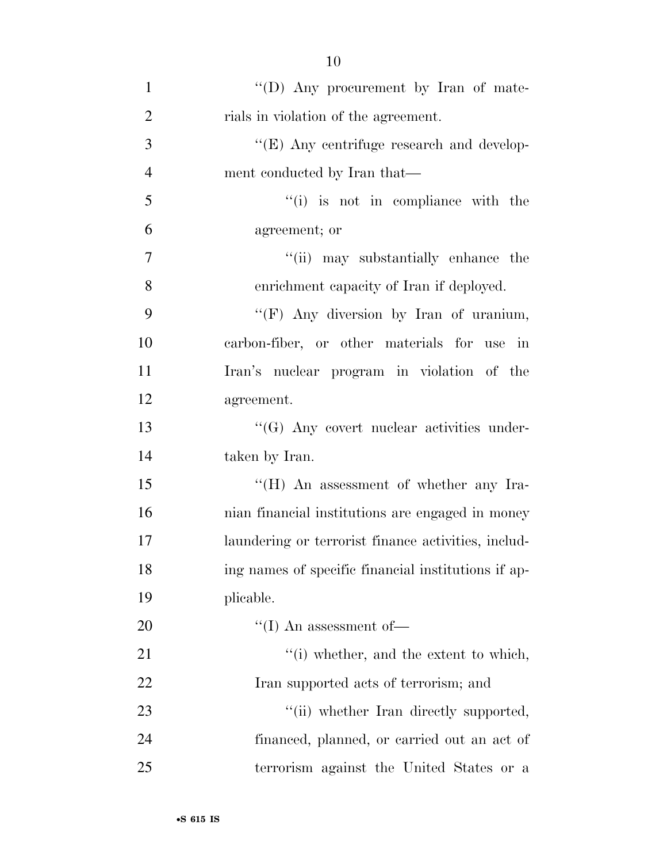| $\mathbf{1}$   | "(D) Any procurement by Iran of mate-               |
|----------------|-----------------------------------------------------|
| $\mathfrak{2}$ | rials in violation of the agreement.                |
| 3              | "(E) Any centrifuge research and develop-           |
| $\overline{4}$ | ment conducted by Iran that—                        |
| 5              | $``(i)$ is not in compliance with the               |
| 6              | agreement; or                                       |
| $\tau$         | "(ii) may substantially enhance the                 |
| 8              | enrichment capacity of Iran if deployed.            |
| 9              | "(F) Any diversion by Iran of uranium,              |
| 10             | carbon-fiber, or other materials for use in         |
| 11             | Iran's nuclear program in violation of the          |
| 12             | agreement.                                          |
| 13             | $\lq\lq (G)$ Any covert nuclear activities under-   |
| 14             | taken by Iran.                                      |
| 15             | "(H) An assessment of whether any Ira-              |
| 16             | nian financial institutions are engaged in money    |
| 17             | laundering or terrorist finance activities, includ- |
| 18             | ing names of specific financial institutions if ap- |
| 19             | plicable.                                           |
| <b>20</b>      | $\lq\lq (I)$ An assessment of<br>—                  |
| 21             | "(i) whether, and the extent to which,              |
| 22             | Iran supported acts of terrorism; and               |
| 23             | "(ii) whether Iran directly supported,              |
| 24             | financed, planned, or carried out an act of         |
| 25             | terrorism against the United States or a            |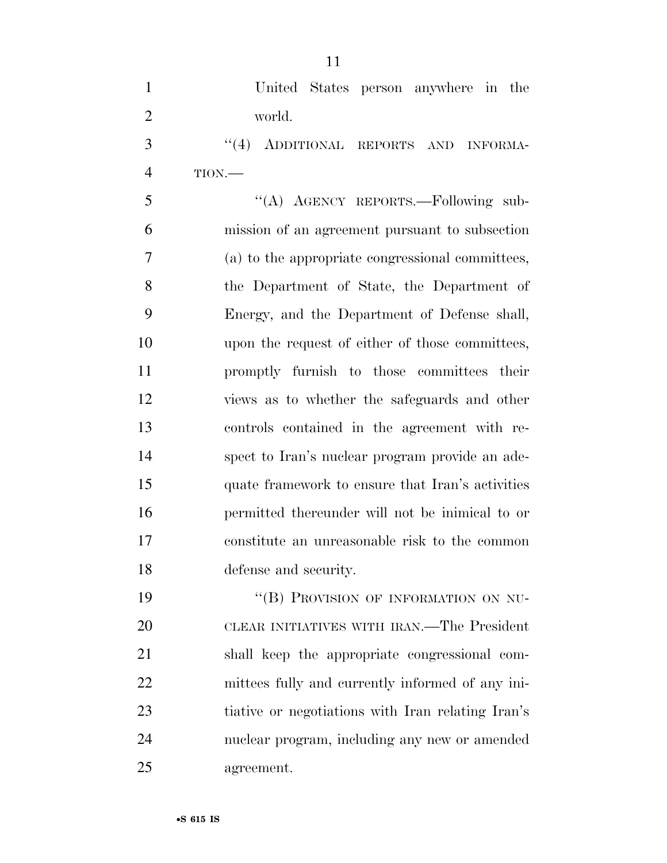United States person anywhere in the world. 3 "(4) ADDITIONAL REPORTS AND INFORMA- TION.— 5 "(A) AGENCY REPORTS.—Following sub- mission of an agreement pursuant to subsection (a) to the appropriate congressional committees, the Department of State, the Department of Energy, and the Department of Defense shall, upon the request of either of those committees, promptly furnish to those committees their views as to whether the safeguards and other controls contained in the agreement with re- spect to Iran's nuclear program provide an ade- quate framework to ensure that Iran's activities permitted thereunder will not be inimical to or constitute an unreasonable risk to the common defense and security.

19 "(B) PROVISION OF INFORMATION ON NU- CLEAR INITIATIVES WITH IRAN.—The President shall keep the appropriate congressional com- mittees fully and currently informed of any ini- tiative or negotiations with Iran relating Iran's nuclear program, including any new or amended agreement.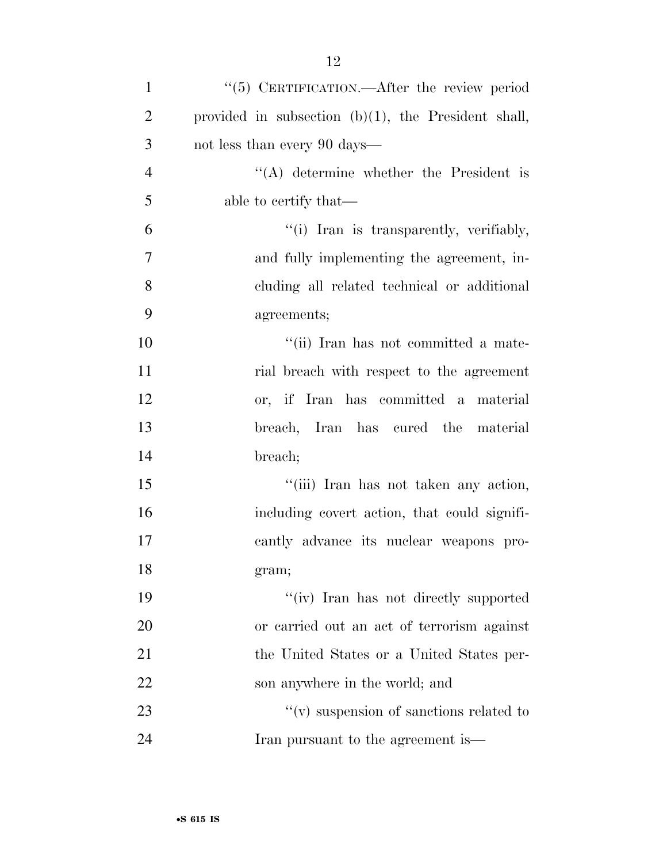| $\mathbf{1}$   | "(5) CERTIFICATION.—After the review period            |
|----------------|--------------------------------------------------------|
| $\overline{2}$ | provided in subsection $(b)(1)$ , the President shall, |
| 3              | not less than every 90 days—                           |
| $\overline{4}$ | $\lq\lq$ determine whether the President is            |
| 5              | able to certify that—                                  |
| 6              | "(i) Iran is transparently, verifiably,                |
| $\tau$         | and fully implementing the agreement, in-              |
| 8              | cluding all related technical or additional            |
| 9              | agreements;                                            |
| 10             | "(ii) Iran has not committed a mate-                   |
| 11             | rial breach with respect to the agreement              |
| 12             | or, if Iran has committed a material                   |
| 13             | breach, Iran has cured the material                    |
| 14             | breach;                                                |
| 15             | "(iii) Iran has not taken any action,                  |
| 16             | including covert action, that could signifi-           |
| $17\,$         | cantly advance its nuclear weapons pro-                |
| 18             | gram;                                                  |
| 19             | "(iv) Iran has not directly supported                  |
| 20             | or carried out an act of terrorism against             |
| 21             | the United States or a United States per-              |
| 22             | son anywhere in the world; and                         |
| 23             | $``(v)$ suspension of sanctions related to             |
| 24             | Iran pursuant to the agreement is—                     |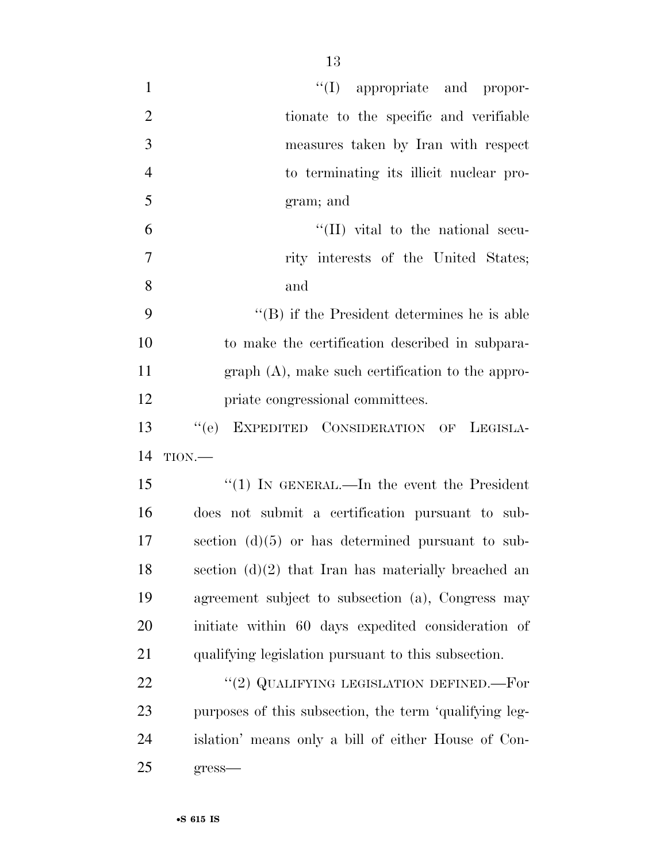| $\mathbf{1}$   | $\lq\lq$ (I) appropriate and propor-                   |
|----------------|--------------------------------------------------------|
| $\overline{2}$ | tionate to the specific and verifiable                 |
| 3              | measures taken by Iran with respect                    |
| $\overline{4}$ | to terminating its illicit nuclear pro-                |
| 5              | gram; and                                              |
| 6              | $\lq\lq$ (II) vital to the national secu-              |
| 7              | rity interests of the United States;                   |
| 8              | and                                                    |
| 9              | $\lq\lq (B)$ if the President determines he is able    |
| 10             | to make the certification described in subpara-        |
| 11             | $graph(A)$ , make such certification to the appro-     |
| 12             | priate congressional committees.                       |
| 13             | ``(e)<br>EXPEDITED CONSIDERATION OF LEGISLA-           |
| 14             | TION.                                                  |
| 15             | "(1) IN GENERAL.—In the event the President            |
| 16             | does not submit a certification pursuant to sub-       |
| 17             | section $(d)(5)$ or has determined pursuant to sub-    |
| 18             | section $(d)(2)$ that Iran has materially breached an  |
| 19             | agreement subject to subsection (a), Congress may      |
| 20             | initiate within 60 days expedited consideration of     |
| 21             | qualifying legislation pursuant to this subsection.    |
| 22             | "(2) QUALIFYING LEGISLATION DEFINED.—For               |
| 23             | purposes of this subsection, the term 'qualifying leg- |
| 24             | islation' means only a bill of either House of Con-    |
| 25             | gress-                                                 |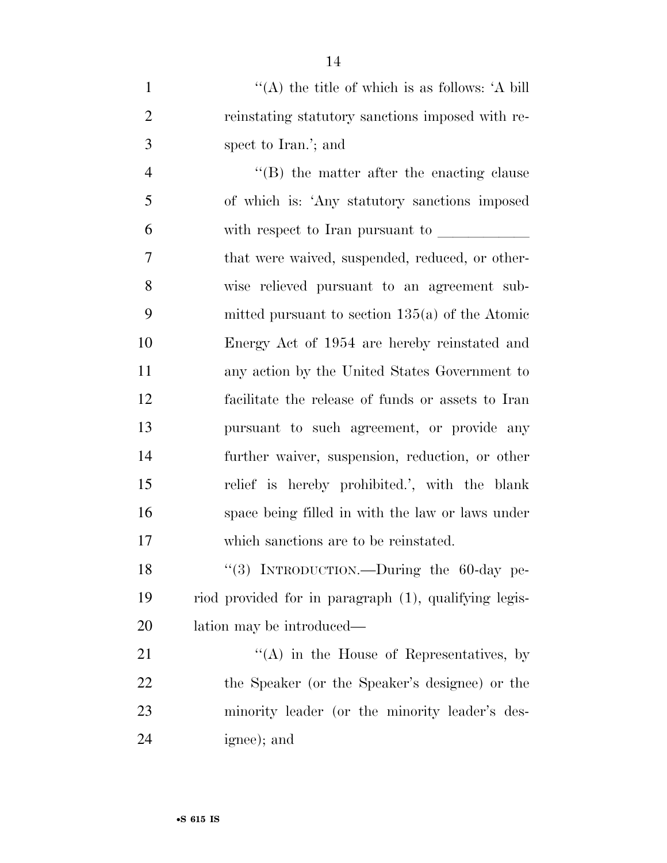|   | "(A) the title of which is as follows: $\hat{A}$ bill |
|---|-------------------------------------------------------|
|   | reinstating statutory sanctions imposed with re-      |
| 3 | spect to Iran.'; and                                  |

4 ''(B) the matter after the enacting clause of which is: 'Any statutory sanctions imposed 6 with respect to Iran pursuant to that were waived, suspended, reduced, or other- wise relieved pursuant to an agreement sub- mitted pursuant to section 135(a) of the Atomic Energy Act of 1954 are hereby reinstated and any action by the United States Government to facilitate the release of funds or assets to Iran pursuant to such agreement, or provide any further waiver, suspension, reduction, or other relief is hereby prohibited.', with the blank space being filled in with the law or laws under which sanctions are to be reinstated.

18 "(3) INTRODUCTION.—During the 60-day pe- riod provided for in paragraph (1), qualifying legis-lation may be introduced—

21 ''(A) in the House of Representatives, by the Speaker (or the Speaker's designee) or the minority leader (or the minority leader's des-ignee); and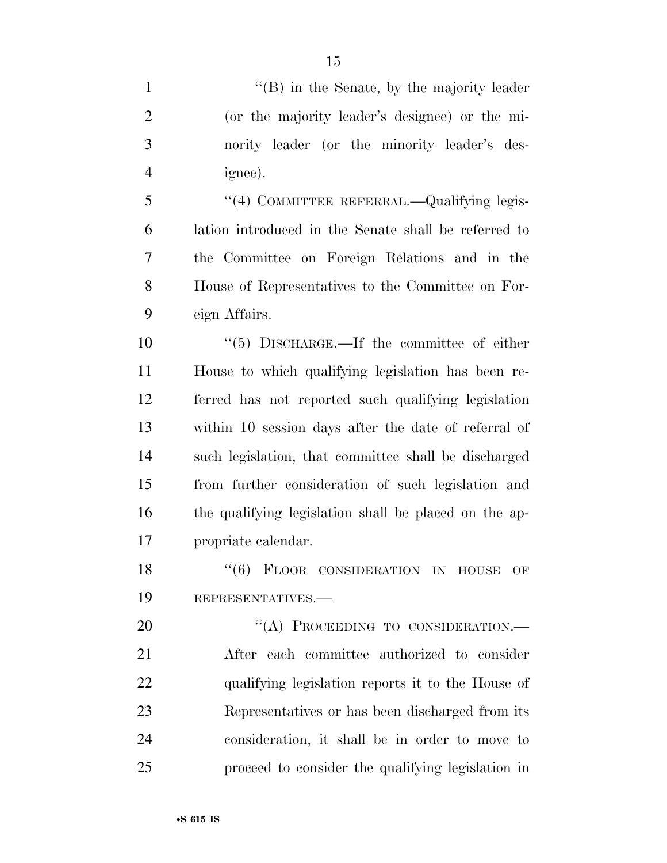1 ''(B) in the Senate, by the majority leader (or the majority leader's designee) or the mi- nority leader (or the minority leader's des- ignee). ''(4) COMMITTEE REFERRAL.—Qualifying legis- lation introduced in the Senate shall be referred to the Committee on Foreign Relations and in the House of Representatives to the Committee on For- eign Affairs.  $(5)$  DISCHARGE.—If the committee of either House to which qualifying legislation has been re- ferred has not reported such qualifying legislation within 10 session days after the date of referral of such legislation, that committee shall be discharged from further consideration of such legislation and the qualifying legislation shall be placed on the ap- propriate calendar. 18 "(6) FLOOR CONSIDERATION IN HOUSE OF REPRESENTATIVES.— 20 "(A) PROCEEDING TO CONSIDERATION.— After each committee authorized to consider qualifying legislation reports it to the House of Representatives or has been discharged from its consideration, it shall be in order to move to proceed to consider the qualifying legislation in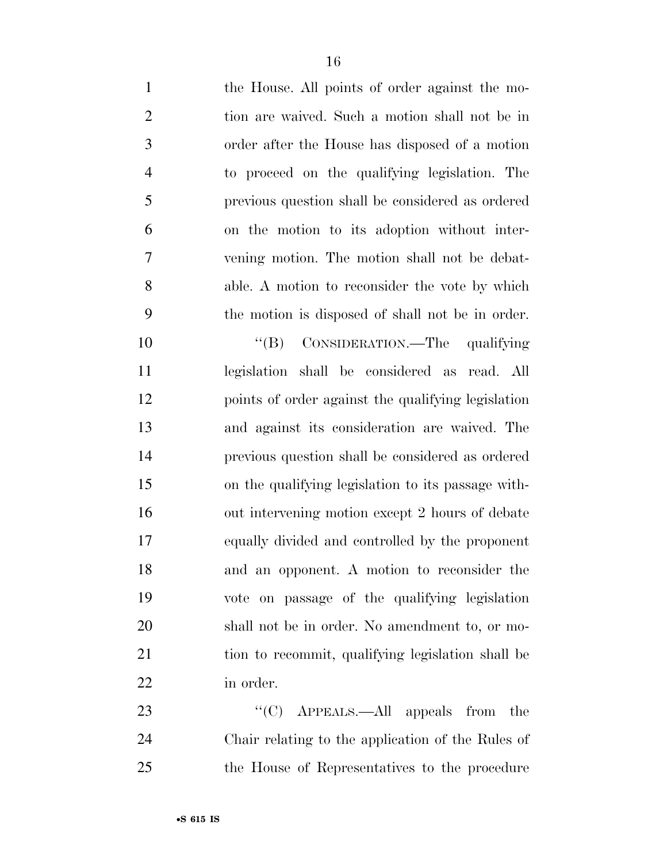| $\mathbf{1}$   | the House. All points of order against the mo-     |
|----------------|----------------------------------------------------|
| $\mathbf{2}$   | tion are waived. Such a motion shall not be in     |
| 3              | order after the House has disposed of a motion     |
| $\overline{4}$ | to proceed on the qualifying legislation. The      |
| 5              | previous question shall be considered as ordered   |
| 6              | on the motion to its adoption without inter-       |
| $\overline{7}$ | vening motion. The motion shall not be debat-      |
| 8              | able. A motion to reconsider the vote by which     |
| 9              | the motion is disposed of shall not be in order.   |
| 10             | CONSIDERATION.—The qualifying<br>$\lq\lq (B)$      |
| 11             | legislation shall be considered as read. All       |
| 12             | points of order against the qualifying legislation |
| 13             | and against its consideration are waived. The      |
| 14             | previous question shall be considered as ordered   |
| 15             | on the qualifying legislation to its passage with- |
| 16             | out intervening motion except 2 hours of debate    |
| 17             | equally divided and controlled by the proponent    |
| 18             | and an opponent. A motion to reconsider the        |

 vote on passage of the qualifying legislation shall not be in order. No amendment to, or mo-

 tion to recommit, qualifying legislation shall be in order.

23 ''(C) APPEALS.—All appeals from the Chair relating to the application of the Rules of the House of Representatives to the procedure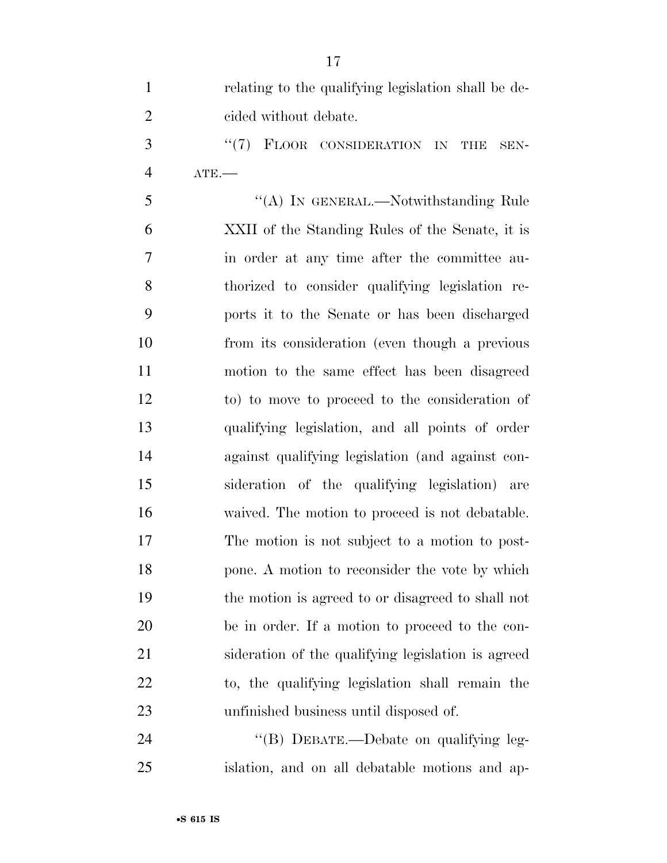| $\mathbf{1}$   | relating to the qualifying legislation shall be de- |
|----------------|-----------------------------------------------------|
| $\overline{2}$ | cided without debate.                               |
| 3              | "(7) FLOOR CONSIDERATION IN<br><b>THE</b><br>SEN-   |
| $\overline{4}$ | $ATE$ -                                             |
| 5              | "(A) IN GENERAL.—Notwithstanding Rule               |
| 6              | XXII of the Standing Rules of the Senate, it is     |
| 7              | in order at any time after the committee au-        |
| $8\,$          | thorized to consider qualifying legislation re-     |
| 9              | ports it to the Senate or has been discharged       |
| 10             | from its consideration (even though a previous      |
| 11             | motion to the same effect has been disagreed        |
| 12             | to) to move to proceed to the consideration of      |
| 13             | qualifying legislation, and all points of order     |
| 14             | against qualifying legislation (and against con-    |
| 15             | sideration of the qualifying legislation) are       |
| 16             | waived. The motion to proceed is not debatable.     |
| 17             | The motion is not subject to a motion to post-      |
| 18             | pone. A motion to reconsider the vote by which      |
| 19             | the motion is agreed to or disagreed to shall not   |
| 20             | be in order. If a motion to proceed to the con-     |
| 21             | sideration of the qualifying legislation is agreed  |
| 22             | to, the qualifying legislation shall remain the     |
| 23             | unfinished business until disposed of.              |
| 24             | "(B) DEBATE.—Debate on qualifying leg-              |

islation, and on all debatable motions and ap-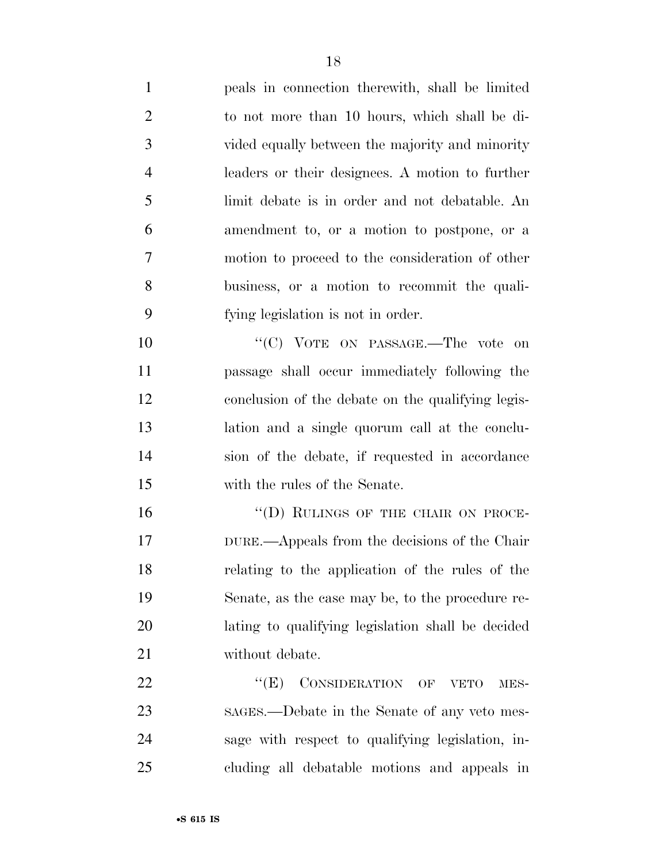| $\mathbf{1}$   | peals in connection therewith, shall be limited   |
|----------------|---------------------------------------------------|
| $\overline{2}$ | to not more than 10 hours, which shall be di-     |
| 3              | vided equally between the majority and minority   |
| $\overline{4}$ | leaders or their designees. A motion to further   |
| 5              | limit debate is in order and not debatable. An    |
| 6              | amendment to, or a motion to postpone, or a       |
| 7              | motion to proceed to the consideration of other   |
| 8              | business, or a motion to recommit the quali-      |
| 9              | fying legislation is not in order.                |
| 10             | "(C) VOTE ON PASSAGE.—The vote on                 |
| 11             | passage shall occur immediately following the     |
| 12             | conclusion of the debate on the qualifying legis- |
| 13             | lation and a single quorum call at the conclu-    |
| 14             | sion of the debate, if requested in accordance    |
| 15             | with the rules of the Senate.                     |
| 16             | "(D) RULINGS OF THE CHAIR ON PROCE-               |
| 17             | DURE.—Appeals from the decisions of the Chair     |
| 18             | relating to the application of the rules of the   |
| 19             | Senate, as the case may be, to the procedure re-  |
| 20             | lating to qualifying legislation shall be decided |
| 21             | without debate.                                   |
| 22             | ``(E)<br>CONSIDERATION OF VETO<br>MES-            |
| 23             | sages.—Debate in the Senate of any veto mes-      |
| 24             | sage with respect to qualifying legislation, in-  |
| 25             | cluding all debatable motions and appeals in      |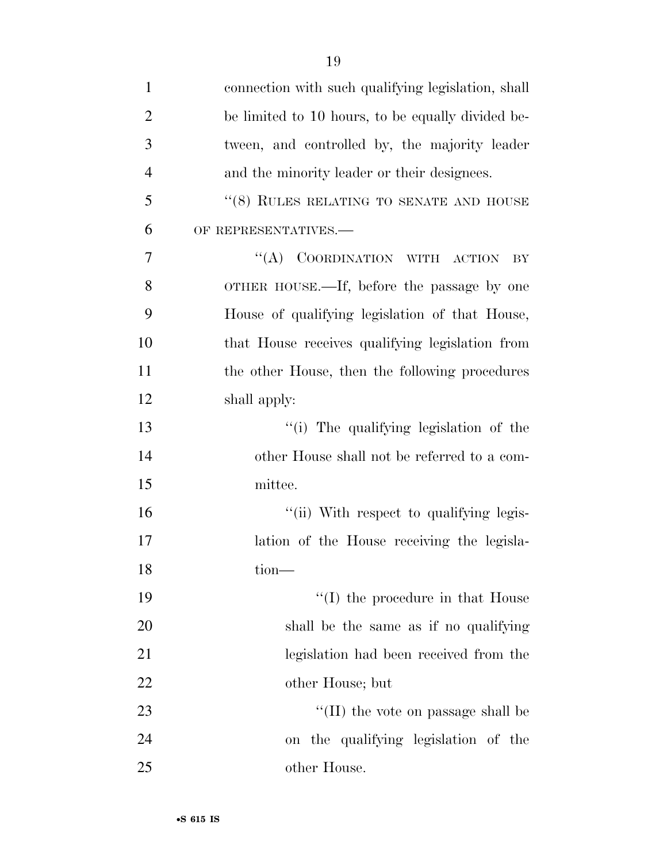| $\mathbf{1}$   | connection with such qualifying legislation, shall |
|----------------|----------------------------------------------------|
| $\overline{2}$ | be limited to 10 hours, to be equally divided be-  |
| 3              | tween, and controlled by, the majority leader      |
| $\overline{4}$ | and the minority leader or their designees.        |
| 5              | " $(8)$ RULES RELATING TO SENATE AND HOUSE         |
| 6              | OF REPRESENTATIVES.-                               |
| 7              | "(A) COORDINATION WITH ACTION<br>BY                |
| 8              | OTHER HOUSE.—If, before the passage by one         |
| 9              | House of qualifying legislation of that House,     |
| 10             | that House receives qualifying legislation from    |
| 11             | the other House, then the following procedures     |
| 12             | shall apply:                                       |
| 13             | "(i) The qualifying legislation of the             |
| 14             | other House shall not be referred to a com-        |
| 15             | mittee.                                            |
| 16             | "(ii) With respect to qualifying legis-            |
| 17             | lation of the House receiving the legisla-         |
| 18             | $\text{tion}$ —                                    |
| 19             | $\lq\lq$ (I) the procedure in that House           |
| 20             | shall be the same as if no qualifying              |
| 21             | legislation had been received from the             |
| 22             | other House; but                                   |
| 23             | $\lq\lq$ (II) the vote on passage shall be         |
| 24             | on the qualifying legislation of the               |
| 25             | other House.                                       |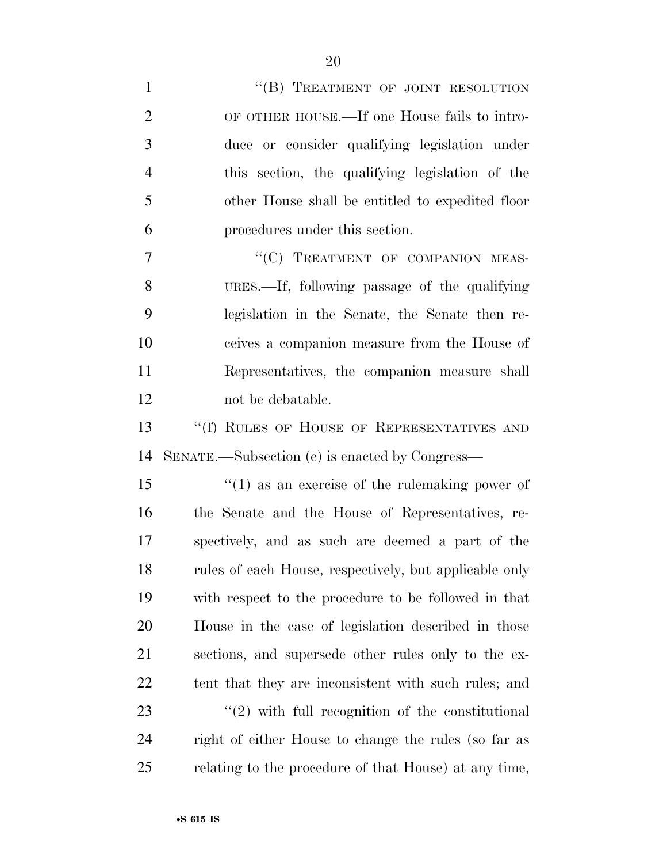| $\mathbf{1}$   | "(B) TREATMENT OF JOINT RESOLUTION                     |
|----------------|--------------------------------------------------------|
| $\overline{2}$ | OF OTHER HOUSE.—If one House fails to intro-           |
| 3              | duce or consider qualifying legislation under          |
| $\overline{4}$ | this section, the qualifying legislation of the        |
| 5              | other House shall be entitled to expedited floor       |
| 6              | procedures under this section.                         |
| 7              | "(C) TREATMENT OF COMPANION MEAS-                      |
| 8              | URES.—If, following passage of the qualifying          |
| 9              | legislation in the Senate, the Senate then re-         |
| 10             | ceives a companion measure from the House of           |
| 11             | Representatives, the companion measure shall           |
| 12             | not be debatable.                                      |
| 13             | "(f) RULES OF HOUSE OF REPRESENTATIVES AND             |
| 14             | SENATE.—Subsection (e) is enacted by Congress—         |
| 15             | $f'(1)$ as an exercise of the rule making power of     |
| 16             | the Senate and the House of Representatives, re-       |
| 17             | spectively, and as such are deemed a part of the       |
| 18             | rules of each House, respectively, but applicable only |
| 19             | with respect to the procedure to be followed in that   |
| 20             | House in the case of legislation described in those    |
| 21             | sections, and supersede other rules only to the ex-    |
| 22             | tent that they are inconsistent with such rules; and   |
| 23             | $\lq(2)$ with full recognition of the constitutional   |
| 24             | right of either House to change the rules (so far as   |
| 25             | relating to the procedure of that House) at any time,  |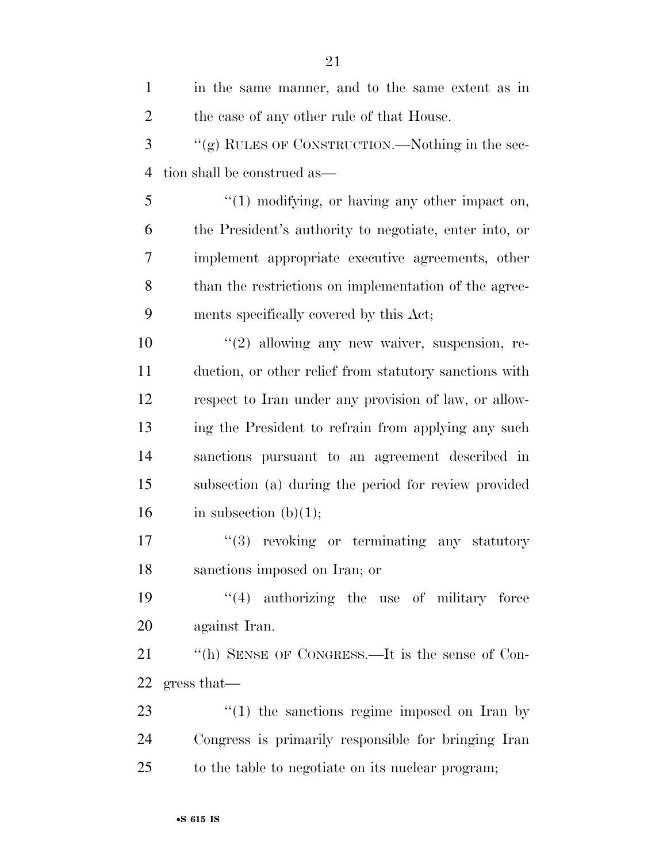| $\mathbf{1}$   | in the same manner, and to the same extent as in       |
|----------------|--------------------------------------------------------|
| $\overline{2}$ | the case of any other rule of that House.              |
| 3              | "(g) RULES OF CONSTRUCTION.—Nothing in the sec-        |
| $\overline{4}$ | tion shall be construed as—                            |
| 5              | $\lq(1)$ modifying, or having any other impact on,     |
| 6              | the President's authority to negotiate, enter into, or |
| 7              | implement appropriate executive agreements, other      |
| 8              | than the restrictions on implementation of the agree-  |
| 9              | ments specifically covered by this Act;                |
| 10             | $"(2)$ allowing any new waiver, suspension, re-        |
| 11             | duction, or other relief from statutory sanctions with |
| 12             | respect to Iran under any provision of law, or allow-  |
| 13             | ing the President to refrain from applying any such    |
| 14             | sanctions pursuant to an agreement described in        |
| 15             | subsection (a) during the period for review provided   |
| 16             | in subsection $(b)(1);$                                |
| 17             | "(3) revoking or terminating any statutory             |
| 18             | sanctions imposed on Iran; or                          |
| 19             | $(4)$ authorizing the use of military force            |
| 20             | against Iran.                                          |
| 21             | "(h) SENSE OF CONGRESS.—It is the sense of Con-        |
| 22             | gress that                                             |
| 23             | $\lq(1)$ the sanctions regime imposed on Iran by       |
| 24             | Congress is primarily responsible for bringing Iran    |
| 25             | to the table to negotiate on its nuclear program;      |
|                |                                                        |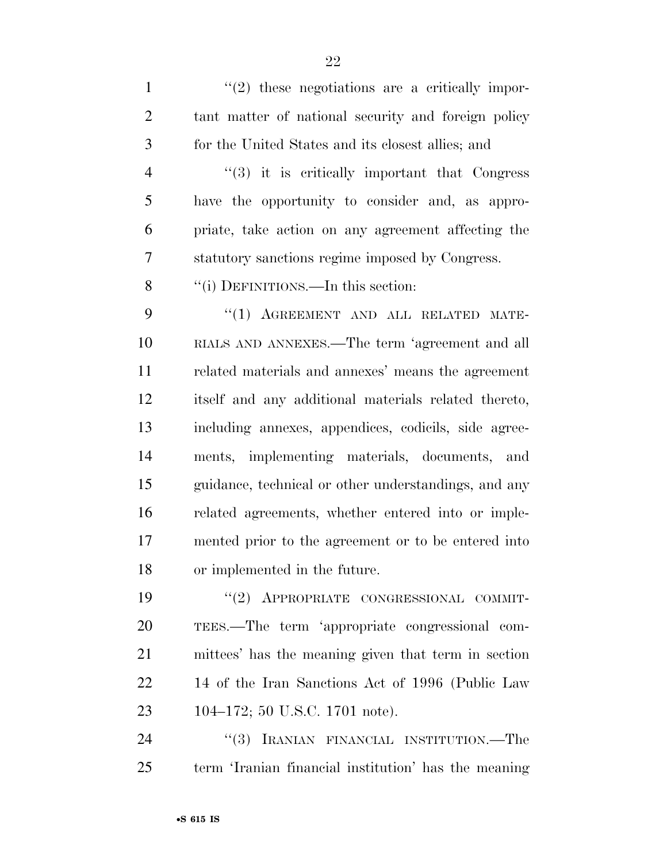$\mathcal{L}(2)$  these negotiations are a critically impor- tant matter of national security and foreign policy for the United States and its closest allies; and

4 "(3) it is critically important that Congress have the opportunity to consider and, as appro- priate, take action on any agreement affecting the statutory sanctions regime imposed by Congress.

8 "(i) DEFINITIONS.—In this section:

9 "(1) AGREEMENT AND ALL RELATED MATE- RIALS AND ANNEXES.—The term 'agreement and all related materials and annexes' means the agreement itself and any additional materials related thereto, including annexes, appendices, codicils, side agree- ments, implementing materials, documents, and guidance, technical or other understandings, and any related agreements, whether entered into or imple- mented prior to the agreement or to be entered into or implemented in the future.

 ''(2) APPROPRIATE CONGRESSIONAL COMMIT- TEES.—The term 'appropriate congressional com- mittees' has the meaning given that term in section 14 of the Iran Sanctions Act of 1996 (Public Law 104–172; 50 U.S.C. 1701 note).

24 "(3) IRANIAN FINANCIAL INSTITUTION.—The term 'Iranian financial institution' has the meaning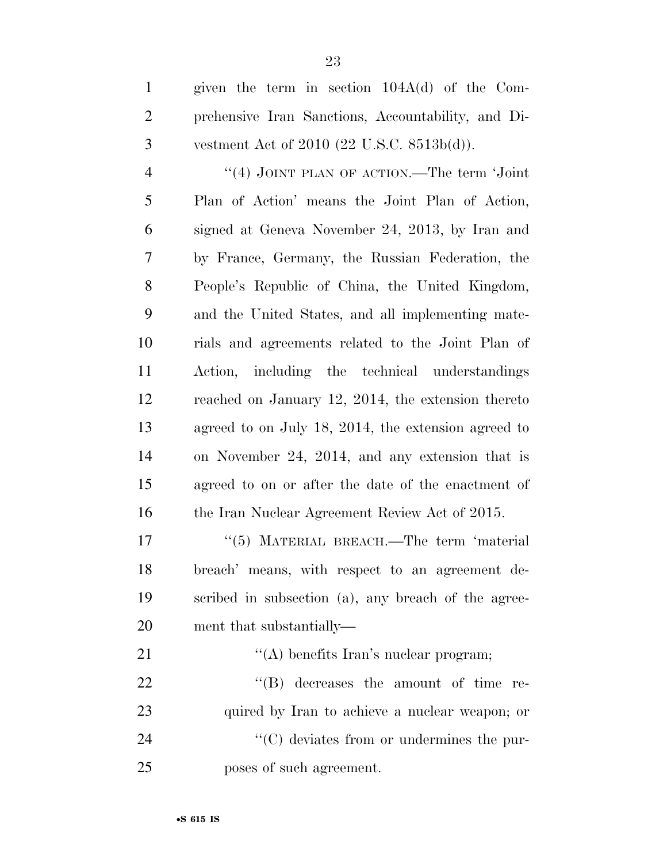| $\mathbf{1}$   | given the term in section $104A(d)$ of the Com-     |
|----------------|-----------------------------------------------------|
| $\mathfrak{2}$ | prehensive Iran Sanctions, Accountability, and Di-  |
| 3              | vestment Act of $2010$ (22 U.S.C. $8513b(d)$ ).     |
| $\overline{4}$ | "(4) JOINT PLAN OF ACTION.—The term 'Joint          |
| 5              | Plan of Action' means the Joint Plan of Action,     |
| 6              | signed at Geneva November 24, 2013, by Iran and     |
| 7              | by France, Germany, the Russian Federation, the     |
| $8\,$          | People's Republic of China, the United Kingdom,     |
| 9              | and the United States, and all implementing mate-   |
| 10             | rials and agreements related to the Joint Plan of   |
| 11             | Action, including the technical understandings      |
| 12             | reached on January 12, 2014, the extension thereto  |
| 13             | agreed to on July 18, 2014, the extension agreed to |
| 14             | on November 24, 2014, and any extension that is     |
| 15             | agreed to on or after the date of the enactment of  |
| 16             | the Iran Nuclear Agreement Review Act of 2015.      |
| 17             | $\cdot$ (5) MATERIAL BREACH.—The term 'material     |
| 18             | breach' means, with respect to an agreement de-     |
| 19             | scribed in subsection (a), any breach of the agree- |

21 ''(A) benefits Iran's nuclear program;  $"$ (B) decreases the amount of time re- quired by Iran to achieve a nuclear weapon; or  $\cdot$  (C) deviates from or undermines the pur-poses of such agreement.

ment that substantially—